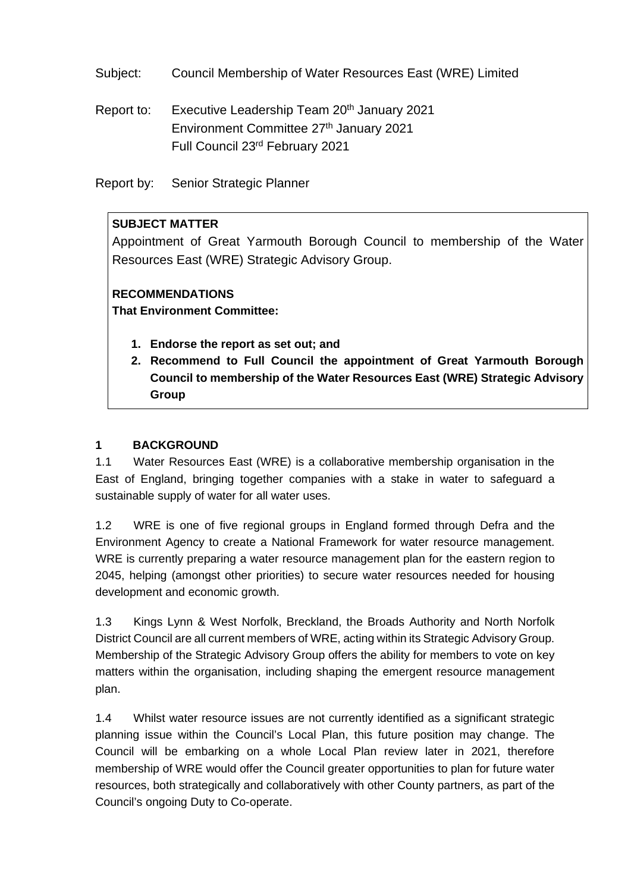Subject: Council Membership of Water Resources East (WRE) Limited

Report to: Executive Leadership Team 20<sup>th</sup> January 2021 Environment Committee 27<sup>th</sup> January 2021 Full Council 23rd February 2021

Report by: Senior Strategic Planner

# **SUBJECT MATTER**

Appointment of Great Yarmouth Borough Council to membership of the Water Resources East (WRE) Strategic Advisory Group.

# **RECOMMENDATIONS**

**That Environment Committee:**

- **1. Endorse the report as set out; and**
- **2. Recommend to Full Council the appointment of Great Yarmouth Borough Council to membership of the Water Resources East (WRE) Strategic Advisory Group**

# **1 BACKGROUND**

1.1 Water Resources East (WRE) is a collaborative membership organisation in the East of England, bringing together companies with a stake in water to safeguard a sustainable supply of water for all water uses.

1.2 WRE is one of five regional groups in England formed through Defra and the Environment Agency to create a National Framework for water resource management. WRE is currently preparing a water resource management plan for the eastern region to 2045, helping (amongst other priorities) to secure water resources needed for housing development and economic growth.

1.3 Kings Lynn & West Norfolk, Breckland, the Broads Authority and North Norfolk District Council are all current members of WRE, acting within its Strategic Advisory Group. Membership of the Strategic Advisory Group offers the ability for members to vote on key matters within the organisation, including shaping the emergent resource management plan.

1.4 Whilst water resource issues are not currently identified as a significant strategic planning issue within the Council's Local Plan, this future position may change. The Council will be embarking on a whole Local Plan review later in 2021, therefore membership of WRE would offer the Council greater opportunities to plan for future water resources, both strategically and collaboratively with other County partners, as part of the Council's ongoing Duty to Co-operate.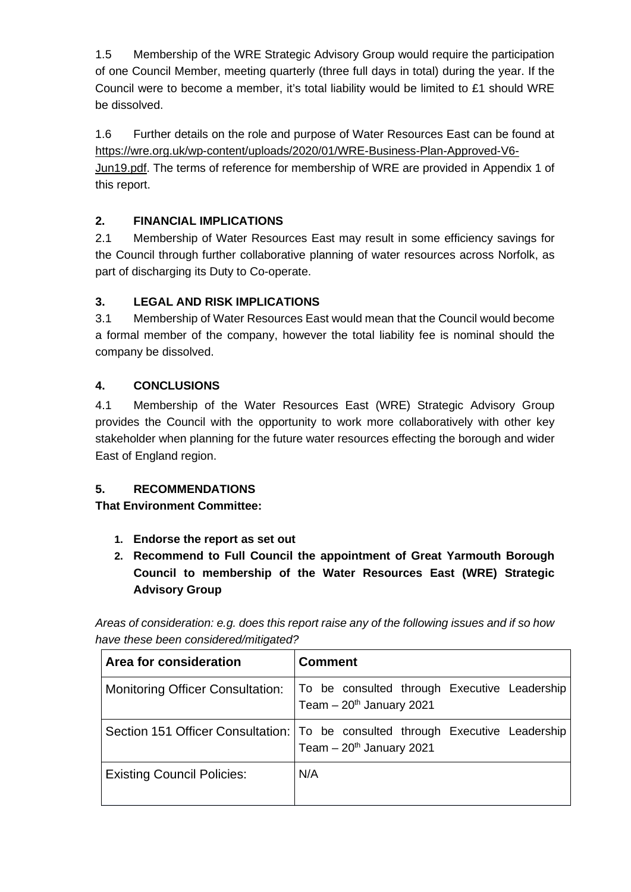1.5 Membership of the WRE Strategic Advisory Group would require the participation of one Council Member, meeting quarterly (three full days in total) during the year. If the Council were to become a member, it's total liability would be limited to £1 should WRE be dissolved.

1.6 Further details on the role and purpose of Water Resources East can be found at [https://wre.org.uk/wp-content/uploads/2020/01/WRE-Business-Plan-Approved-V6-](https://wre.org.uk/wp-content/uploads/2020/01/WRE-Business-Plan-Approved-V6-Jun19.pdf) [Jun19.pdf.](https://wre.org.uk/wp-content/uploads/2020/01/WRE-Business-Plan-Approved-V6-Jun19.pdf) The terms of reference for membership of WRE are provided in Appendix 1 of this report.

# **2. FINANCIAL IMPLICATIONS**

2.1 Membership of Water Resources East may result in some efficiency savings for the Council through further collaborative planning of water resources across Norfolk, as part of discharging its Duty to Co-operate.

# **3. LEGAL AND RISK IMPLICATIONS**

3.1 Membership of Water Resources East would mean that the Council would become a formal member of the company, however the total liability fee is nominal should the company be dissolved.

# **4. CONCLUSIONS**

4.1 Membership of the Water Resources East (WRE) Strategic Advisory Group provides the Council with the opportunity to work more collaboratively with other key stakeholder when planning for the future water resources effecting the borough and wider East of England region.

# **5. RECOMMENDATIONS**

**That Environment Committee:**

- **1. Endorse the report as set out**
- **2. Recommend to Full Council the appointment of Great Yarmouth Borough Council to membership of the Water Resources East (WRE) Strategic Advisory Group**

*Areas of consideration: e.g. does this report raise any of the following issues and if so how have these been considered/mitigated?*

| Area for consideration                  | <b>Comment</b>                                                                                                            |
|-----------------------------------------|---------------------------------------------------------------------------------------------------------------------------|
| <b>Monitoring Officer Consultation:</b> | To be consulted through Executive Leadership<br>Team $-20$ <sup>th</sup> January 2021                                     |
|                                         | Section 151 Officer Consultation:   To be consulted through Executive Leadership<br>Team $-20$ <sup>th</sup> January 2021 |
| <b>Existing Council Policies:</b>       | N/A                                                                                                                       |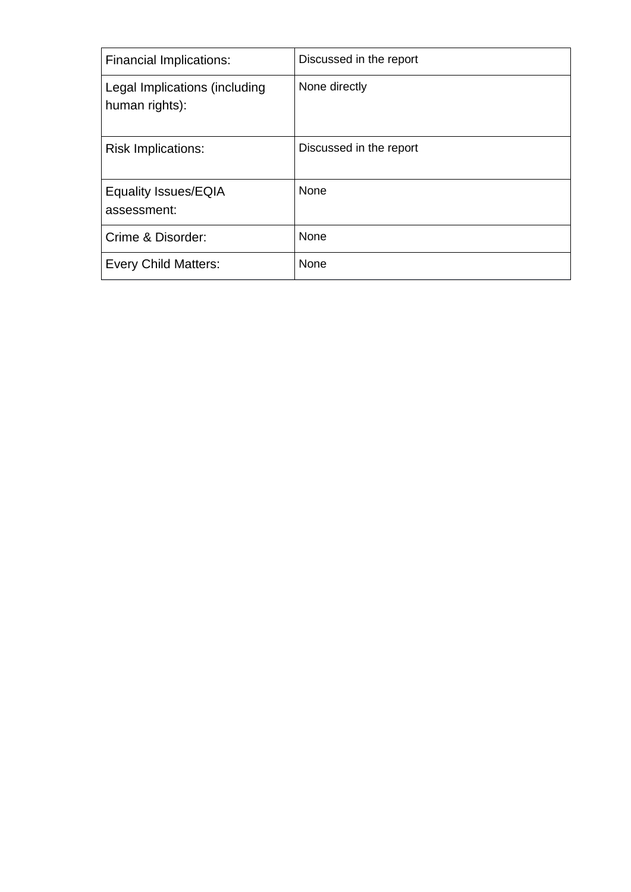| <b>Financial Implications:</b>                  | Discussed in the report |
|-------------------------------------------------|-------------------------|
| Legal Implications (including<br>human rights): | None directly           |
| <b>Risk Implications:</b>                       | Discussed in the report |
| <b>Equality Issues/EQIA</b><br>assessment:      | None                    |
| Crime & Disorder:                               | None                    |
| <b>Every Child Matters:</b>                     | None                    |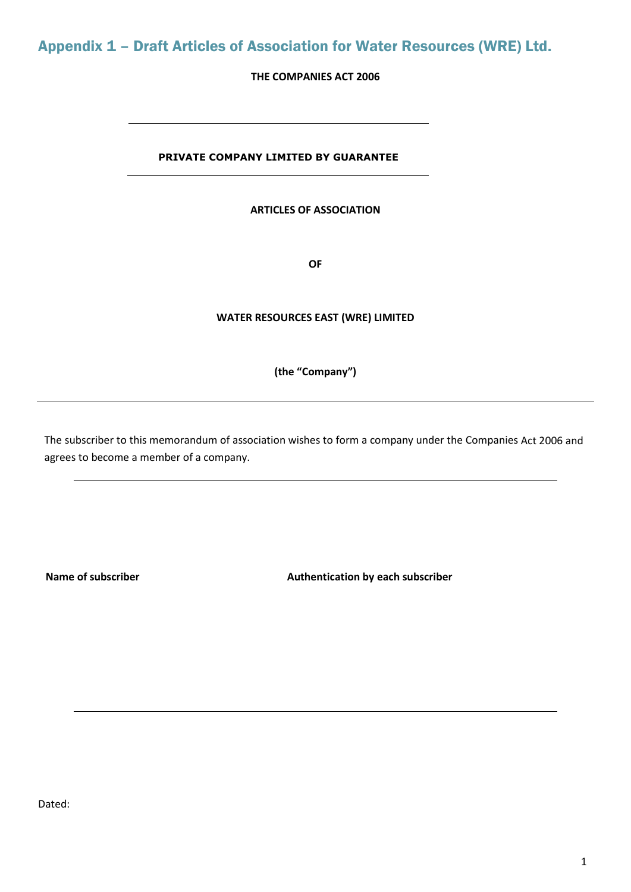# Appendix 1 – Draft Articles of Association for Water Resources (WRE) Ltd.

# **THE COMPANIES ACT 2006**

# **PRIVATE COMPANY LIMITED BY GUARANTEE**

#### **ARTICLES OF ASSOCIATION**

**OF**

### **WATER RESOURCES EAST (WRE) LIMITED**

### **(the "Company")**

The subscriber to this memorandum of association wishes to form a company under the Companies Act 2006 and agrees to become a member of a company.

Name of subscriber **Authentication by each subscriber** Authentication by each subscriber

Dated: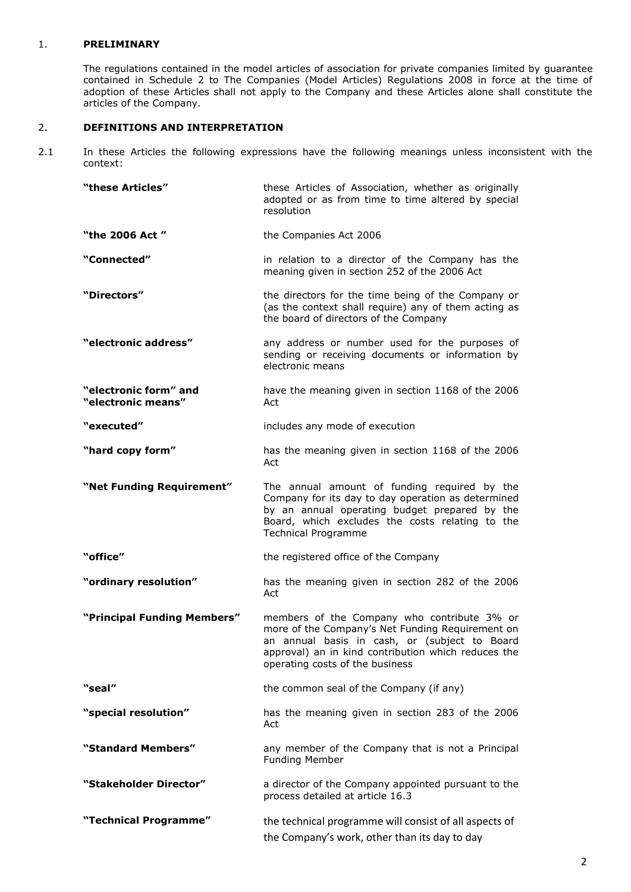#### 1. **PRELIMINARY**

The regulations contained in the model articles of association for private companies limited by guarantee contained in Schedule 2 to The Companies (Model Articles) Regulations 2008 in force at the time of adoption of these Articles shall not apply to the Company and these Articles alone shall constitute the articles of the Company.

### 2. **DEFINITIONS AND INTERPRETATION**

2.1 In these Articles the following expressions have the following meanings unless inconsistent with the context:

| "these Articles"                            | these Articles of Association, whether as originally<br>adopted or as from time to time altered by special<br>resolution                                                                                                                   |
|---------------------------------------------|--------------------------------------------------------------------------------------------------------------------------------------------------------------------------------------------------------------------------------------------|
| "the 2006 Act"                              | the Companies Act 2006                                                                                                                                                                                                                     |
| "Connected"                                 | in relation to a director of the Company has the<br>meaning given in section 252 of the 2006 Act                                                                                                                                           |
| "Directors"                                 | the directors for the time being of the Company or<br>(as the context shall require) any of them acting as<br>the board of directors of the Company                                                                                        |
| "electronic address"                        | any address or number used for the purposes of<br>sending or receiving documents or information by<br>electronic means                                                                                                                     |
| "electronic form" and<br>"electronic means" | have the meaning given in section 1168 of the 2006<br>Act                                                                                                                                                                                  |
| "executed"                                  | includes any mode of execution                                                                                                                                                                                                             |
| "hard copy form"                            | has the meaning given in section 1168 of the 2006<br>Act                                                                                                                                                                                   |
| "Net Funding Requirement"                   | The annual amount of funding required by the<br>Company for its day to day operation as determined<br>by an annual operating budget prepared by the<br>Board, which excludes the costs relating to the<br><b>Technical Programme</b>       |
| "office"                                    | the registered office of the Company                                                                                                                                                                                                       |
| "ordinary resolution"                       | has the meaning given in section 282 of the 2006<br>Act                                                                                                                                                                                    |
| "Principal Funding Members"                 | members of the Company who contribute 3% or<br>more of the Company's Net Funding Requirement on<br>an annual basis in cash, or (subject to Board<br>approval) an in kind contribution which reduces the<br>operating costs of the business |
| "seal"                                      | the common seal of the Company (if any)                                                                                                                                                                                                    |
| "special resolution"                        | has the meaning given in section 283 of the 2006<br>Act                                                                                                                                                                                    |
| "Standard Members"                          | any member of the Company that is not a Principal<br><b>Funding Member</b>                                                                                                                                                                 |
| "Stakeholder Director"                      | a director of the Company appointed pursuant to the<br>process detailed at article 16.3                                                                                                                                                    |
| "Technical Programme"                       | the technical programme will consist of all aspects of<br>the Company's work, other than its day to day                                                                                                                                    |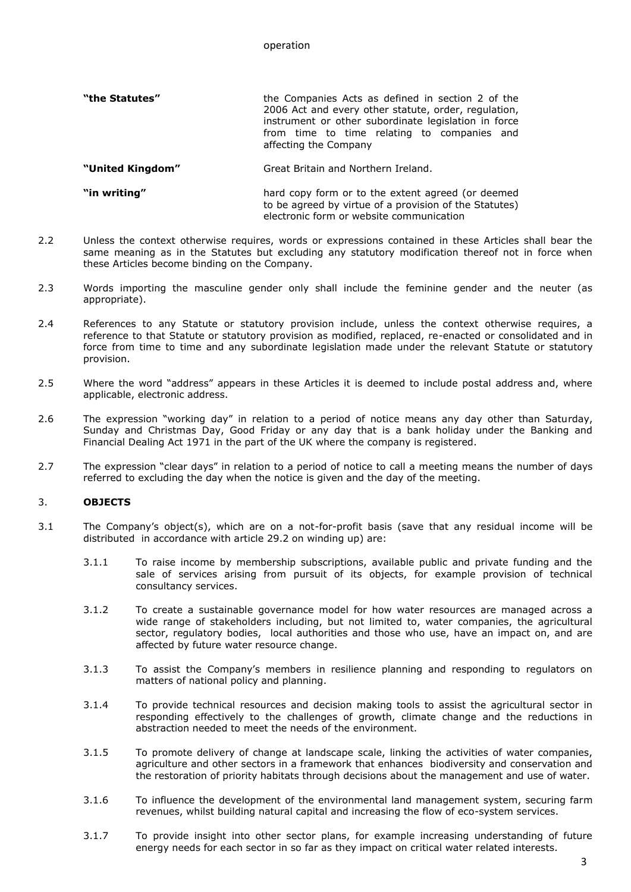#### operation

| "the Statutes" | the Companies Acts as defined in section 2 of the<br>2006 Act and every other statute, order, regulation,<br>instrument or other subordinate legislation in force<br>from time to time relating to companies and |
|----------------|------------------------------------------------------------------------------------------------------------------------------------------------------------------------------------------------------------------|
|                | affecting the Company                                                                                                                                                                                            |

**"United Kingdom"** Great Britain and Northern Ireland.

**"in writing"** hard copy form or to the extent agreed (or deemed to be agreed by virtue of a provision of the Statutes) electronic form or website communication

- 2.2 Unless the context otherwise requires, words or expressions contained in these Articles shall bear the same meaning as in the Statutes but excluding any statutory modification thereof not in force when these Articles become binding on the Company.
- 2.3 Words importing the masculine gender only shall include the feminine gender and the neuter (as appropriate).
- 2.4 References to any Statute or statutory provision include, unless the context otherwise requires, a reference to that Statute or statutory provision as modified, replaced, re-enacted or consolidated and in force from time to time and any subordinate legislation made under the relevant Statute or statutory provision.
- 2.5 Where the word "address" appears in these Articles it is deemed to include postal address and, where applicable, electronic address.
- 2.6 The expression "working day" in relation to a period of notice means any day other than Saturday, Sunday and Christmas Day, Good Friday or any day that is a bank holiday under the Banking and Financial Dealing Act 1971 in the part of the UK where the company is registered.
- 2.7 The expression "clear days" in relation to a period of notice to call a meeting means the number of days referred to excluding the day when the notice is given and the day of the meeting.

#### 3. **OBJECTS**

- 3.1 The Company's object(s), which are on a not-for-profit basis (save that any residual income will be distributed in accordance with article 29.2 on winding up) are:
	- 3.1.1 To raise income by membership subscriptions, available public and private funding and the sale of services arising from pursuit of its objects, for example provision of technical consultancy services.
	- 3.1.2 To create a sustainable governance model for how water resources are managed across a wide range of stakeholders including, but not limited to, water companies, the agricultural sector, regulatory bodies, local authorities and those who use, have an impact on, and are affected by future water resource change.
	- 3.1.3 To assist the Company's members in resilience planning and responding to regulators on matters of national policy and planning.
	- 3.1.4 To provide technical resources and decision making tools to assist the agricultural sector in responding effectively to the challenges of growth, climate change and the reductions in abstraction needed to meet the needs of the environment.
	- 3.1.5 To promote delivery of change at landscape scale, linking the activities of water companies, agriculture and other sectors in a framework that enhances biodiversity and conservation and the restoration of priority habitats through decisions about the management and use of water.
	- 3.1.6 To influence the development of the environmental land management system, securing farm revenues, whilst building natural capital and increasing the flow of eco-system services.
	- 3.1.7 To provide insight into other sector plans, for example increasing understanding of future energy needs for each sector in so far as they impact on critical water related interests.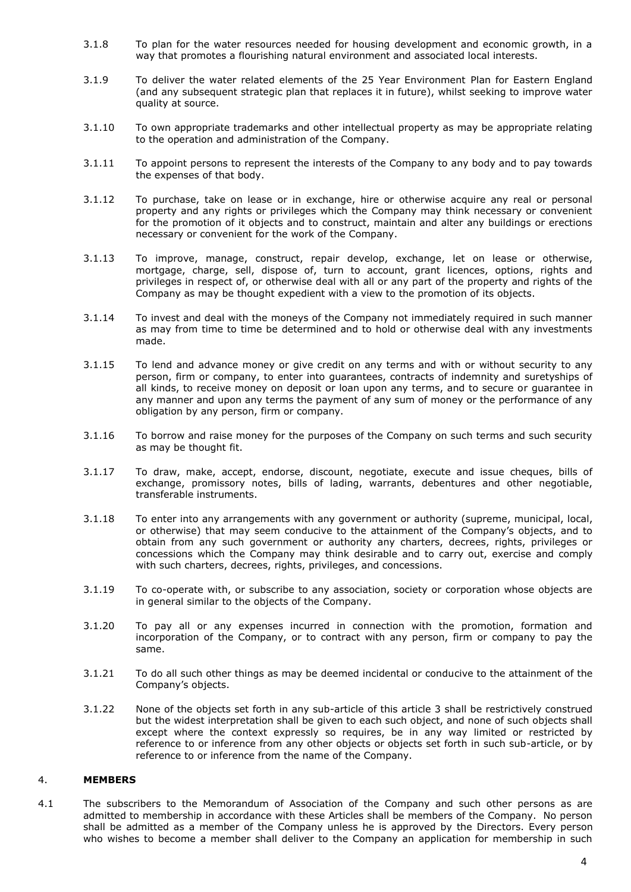- 3.1.8 To plan for the water resources needed for housing development and economic growth, in a way that promotes a flourishing natural environment and associated local interests.
- 3.1.9 To deliver the water related elements of the 25 Year Environment Plan for Eastern England (and any subsequent strategic plan that replaces it in future), whilst seeking to improve water quality at source.
- 3.1.10 To own appropriate trademarks and other intellectual property as may be appropriate relating to the operation and administration of the Company.
- 3.1.11 To appoint persons to represent the interests of the Company to any body and to pay towards the expenses of that body.
- 3.1.12 To purchase, take on lease or in exchange, hire or otherwise acquire any real or personal property and any rights or privileges which the Company may think necessary or convenient for the promotion of it objects and to construct, maintain and alter any buildings or erections necessary or convenient for the work of the Company.
- 3.1.13 To improve, manage, construct, repair develop, exchange, let on lease or otherwise, mortgage, charge, sell, dispose of, turn to account, grant licences, options, rights and privileges in respect of, or otherwise deal with all or any part of the property and rights of the Company as may be thought expedient with a view to the promotion of its objects.
- 3.1.14 To invest and deal with the moneys of the Company not immediately required in such manner as may from time to time be determined and to hold or otherwise deal with any investments made.
- 3.1.15 To lend and advance money or give credit on any terms and with or without security to any person, firm or company, to enter into guarantees, contracts of indemnity and suretyships of all kinds, to receive money on deposit or loan upon any terms, and to secure or guarantee in any manner and upon any terms the payment of any sum of money or the performance of any obligation by any person, firm or company.
- 3.1.16 To borrow and raise money for the purposes of the Company on such terms and such security as may be thought fit.
- 3.1.17 To draw, make, accept, endorse, discount, negotiate, execute and issue cheques, bills of exchange, promissory notes, bills of lading, warrants, debentures and other negotiable, transferable instruments.
- 3.1.18 To enter into any arrangements with any government or authority (supreme, municipal, local, or otherwise) that may seem conducive to the attainment of the Company's objects, and to obtain from any such government or authority any charters, decrees, rights, privileges or concessions which the Company may think desirable and to carry out, exercise and comply with such charters, decrees, rights, privileges, and concessions.
- 3.1.19 To co-operate with, or subscribe to any association, society or corporation whose objects are in general similar to the objects of the Company.
- 3.1.20 To pay all or any expenses incurred in connection with the promotion, formation and incorporation of the Company, or to contract with any person, firm or company to pay the same.
- 3.1.21 To do all such other things as may be deemed incidental or conducive to the attainment of the Company's objects.
- 3.1.22 None of the objects set forth in any sub-article of this article 3 shall be restrictively construed but the widest interpretation shall be given to each such object, and none of such objects shall except where the context expressly so requires, be in any way limited or restricted by reference to or inference from any other objects or objects set forth in such sub-article, or by reference to or inference from the name of the Company.

#### 4. **MEMBERS**

4.1 The subscribers to the Memorandum of Association of the Company and such other persons as are admitted to membership in accordance with these Articles shall be members of the Company. No person shall be admitted as a member of the Company unless he is approved by the Directors. Every person who wishes to become a member shall deliver to the Company an application for membership in such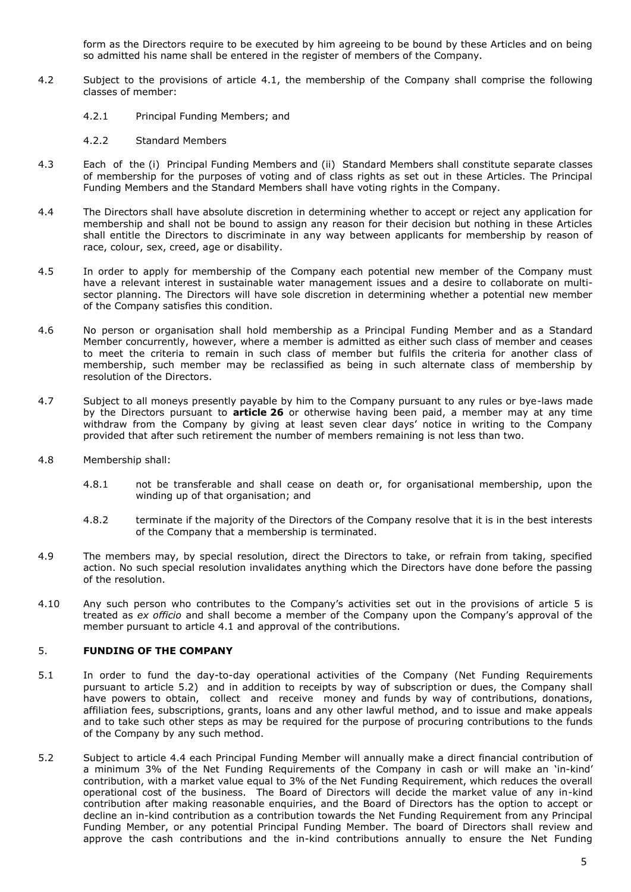form as the Directors require to be executed by him agreeing to be bound by these Articles and on being so admitted his name shall be entered in the register of members of the Company.

- 4.2 Subject to the provisions of article 4.1, the membership of the Company shall comprise the following classes of member:
	- 4.2.1 Principal Funding Members; and
	- 4.2.2 Standard Members
- 4.3 Each of the (i) Principal Funding Members and (ii) Standard Members shall constitute separate classes of membership for the purposes of voting and of class rights as set out in these Articles. The Principal Funding Members and the Standard Members shall have voting rights in the Company.
- 4.4 The Directors shall have absolute discretion in determining whether to accept or reject any application for membership and shall not be bound to assign any reason for their decision but nothing in these Articles shall entitle the Directors to discriminate in any way between applicants for membership by reason of race, colour, sex, creed, age or disability.
- 4.5 In order to apply for membership of the Company each potential new member of the Company must have a relevant interest in sustainable water management issues and a desire to collaborate on multisector planning. The Directors will have sole discretion in determining whether a potential new member of the Company satisfies this condition.
- 4.6 No person or organisation shall hold membership as a Principal Funding Member and as a Standard Member concurrently, however, where a member is admitted as either such class of member and ceases to meet the criteria to remain in such class of member but fulfils the criteria for another class of membership, such member may be reclassified as being in such alternate class of membership by resolution of the Directors.
- 4.7 Subject to all moneys presently payable by him to the Company pursuant to any rules or bye-laws made by the Directors pursuant to **article [26](#page-16-0)** or otherwise having been paid, a member may at any time withdraw from the Company by giving at least seven clear days' notice in writing to the Company provided that after such retirement the number of members remaining is not less than two.
- 4.8 Membership shall:
	- 4.8.1 not be transferable and shall cease on death or, for organisational membership, upon the winding up of that organisation; and
	- 4.8.2 terminate if the majority of the Directors of the Company resolve that it is in the best interests of the Company that a membership is terminated.
- 4.9 The members may, by special resolution, direct the Directors to take, or refrain from taking, specified action. No such special resolution invalidates anything which the Directors have done before the passing of the resolution.
- 4.10 Any such person who contributes to the Company's activities set out in the provisions of article 5 is treated as *ex officio* and shall become a member of the Company upon the Company's approval of the member pursuant to article 4.1 and approval of the contributions.

### 5. **FUNDING OF THE COMPANY**

- 5.1 In order to fund the day-to-day operational activities of the Company (Net Funding Requirements pursuant to article 5.2) and in addition to receipts by way of subscription or dues, the Company shall have powers to obtain, collect and receive money and funds by way of contributions, donations, affiliation fees, subscriptions, grants, loans and any other lawful method, and to issue and make appeals and to take such other steps as may be required for the purpose of procuring contributions to the funds of the Company by any such method.
- 5.2 Subject to article 4.4 each Principal Funding Member will annually make a direct financial contribution of a minimum 3% of the Net Funding Requirements of the Company in cash or will make an 'in-kind' contribution, with a market value equal to 3% of the Net Funding Requirement, which reduces the overall operational cost of the business. The Board of Directors will decide the market value of any in-kind contribution after making reasonable enquiries, and the Board of Directors has the option to accept or decline an in-kind contribution as a contribution towards the Net Funding Requirement from any Principal Funding Member, or any potential Principal Funding Member. The board of Directors shall review and approve the cash contributions and the in-kind contributions annually to ensure the Net Funding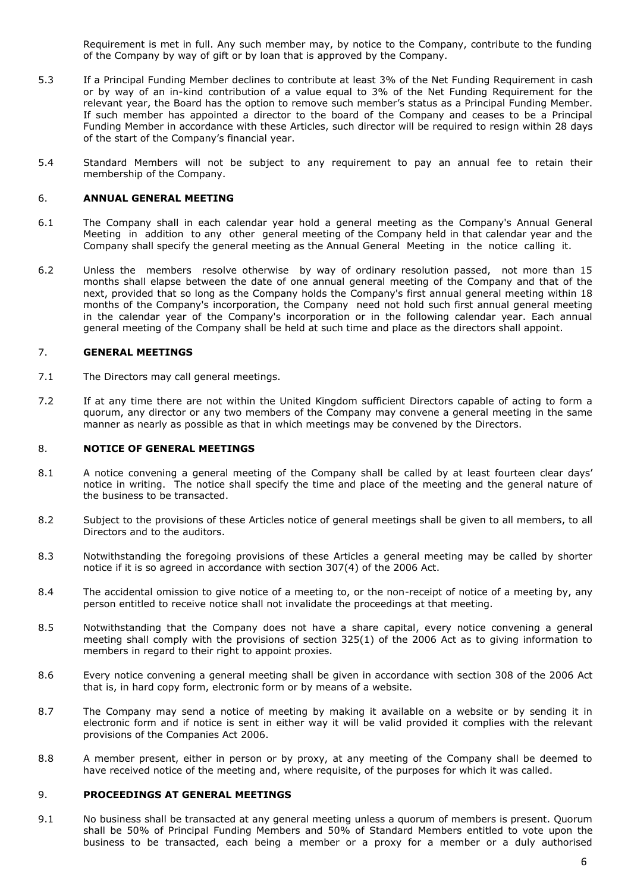Requirement is met in full. Any such member may, by notice to the Company, contribute to the funding of the Company by way of gift or by loan that is approved by the Company.

- 5.3 If a Principal Funding Member declines to contribute at least 3% of the Net Funding Requirement in cash or by way of an in-kind contribution of a value equal to 3% of the Net Funding Requirement for the relevant year, the Board has the option to remove such member's status as a Principal Funding Member. If such member has appointed a director to the board of the Company and ceases to be a Principal Funding Member in accordance with these Articles, such director will be required to resign within 28 days of the start of the Company's financial year.
- 5.4 Standard Members will not be subject to any requirement to pay an annual fee to retain their membership of the Company.

#### 6. **ANNUAL GENERAL MEETING**

- 6.1 The Company shall in each calendar year hold a general meeting as the Company's Annual General Meeting in addition to any other general meeting of the Company held in that calendar year and the Company shall specify the general meeting as the Annual General Meeting in the notice calling it.
- 6.2 Unless the members resolve otherwise by way of ordinary resolution passed, not more than 15 months shall elapse between the date of one annual general meeting of the Company and that of the next, provided that so long as the Company holds the Company's first annual general meeting within 18 months of the Company's incorporation, the Company need not hold such first annual general meeting in the calendar year of the Company's incorporation or in the following calendar year. Each annual general meeting of the Company shall be held at such time and place as the directors shall appoint.

#### 7. **GENERAL MEETINGS**

- 7.1 The Directors may call general meetings.
- 7.2 If at any time there are not within the United Kingdom sufficient Directors capable of acting to form a quorum, any director or any two members of the Company may convene a general meeting in the same manner as nearly as possible as that in which meetings may be convened by the Directors.

#### 8. **NOTICE OF GENERAL MEETINGS**

- 8.1 A notice convening a general meeting of the Company shall be called by at least fourteen clear days' notice in writing. The notice shall specify the time and place of the meeting and the general nature of the business to be transacted.
- 8.2 Subject to the provisions of these Articles notice of general meetings shall be given to all members, to all Directors and to the auditors.
- 8.3 Notwithstanding the foregoing provisions of these Articles a general meeting may be called by shorter notice if it is so agreed in accordance with section 307(4) of the 2006 Act.
- 8.4 The accidental omission to give notice of a meeting to, or the non-receipt of notice of a meeting by, any person entitled to receive notice shall not invalidate the proceedings at that meeting.
- 8.5 Notwithstanding that the Company does not have a share capital, every notice convening a general meeting shall comply with the provisions of section 325(1) of the 2006 Act as to giving information to members in regard to their right to appoint proxies.
- 8.6 Every notice convening a general meeting shall be given in accordance with section 308 of the 2006 Act that is, in hard copy form, electronic form or by means of a website.
- 8.7 The Company may send a notice of meeting by making it available on a website or by sending it in electronic form and if notice is sent in either way it will be valid provided it complies with the relevant provisions of the Companies Act 2006.
- 8.8 A member present, either in person or by proxy, at any meeting of the Company shall be deemed to have received notice of the meeting and, where requisite, of the purposes for which it was called.

### 9. **PROCEEDINGS AT GENERAL MEETINGS**

9.1 No business shall be transacted at any general meeting unless a quorum of members is present. Quorum shall be 50% of Principal Funding Members and 50% of Standard Members entitled to vote upon the business to be transacted, each being a member or a proxy for a member or a duly authorised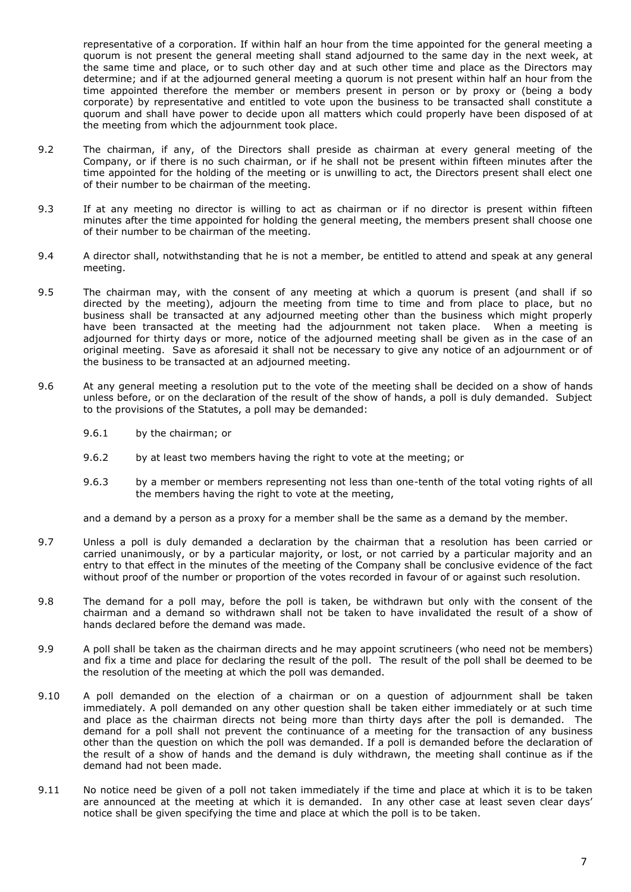representative of a corporation. If within half an hour from the time appointed for the general meeting a quorum is not present the general meeting shall stand adjourned to the same day in the next week, at the same time and place, or to such other day and at such other time and place as the Directors may determine; and if at the adjourned general meeting a quorum is not present within half an hour from the time appointed therefore the member or members present in person or by proxy or (being a body corporate) by representative and entitled to vote upon the business to be transacted shall constitute a quorum and shall have power to decide upon all matters which could properly have been disposed of at the meeting from which the adjournment took place.

- 9.2 The chairman, if any, of the Directors shall preside as chairman at every general meeting of the Company, or if there is no such chairman, or if he shall not be present within fifteen minutes after the time appointed for the holding of the meeting or is unwilling to act, the Directors present shall elect one of their number to be chairman of the meeting.
- 9.3 If at any meeting no director is willing to act as chairman or if no director is present within fifteen minutes after the time appointed for holding the general meeting, the members present shall choose one of their number to be chairman of the meeting.
- 9.4 A director shall, notwithstanding that he is not a member, be entitled to attend and speak at any general meeting.
- 9.5 The chairman may, with the consent of any meeting at which a quorum is present (and shall if so directed by the meeting), adjourn the meeting from time to time and from place to place, but no business shall be transacted at any adjourned meeting other than the business which might properly have been transacted at the meeting had the adjournment not taken place. When a meeting is adjourned for thirty days or more, notice of the adjourned meeting shall be given as in the case of an original meeting. Save as aforesaid it shall not be necessary to give any notice of an adjournment or of the business to be transacted at an adjourned meeting.
- 9.6 At any general meeting a resolution put to the vote of the meeting shall be decided on a show of hands unless before, or on the declaration of the result of the show of hands, a poll is duly demanded. Subject to the provisions of the Statutes, a poll may be demanded:
	- 9.6.1 by the chairman; or
	- 9.6.2 by at least two members having the right to vote at the meeting; or
	- 9.6.3 by a member or members representing not less than one-tenth of the total voting rights of all the members having the right to vote at the meeting,

and a demand by a person as a proxy for a member shall be the same as a demand by the member.

- 9.7 Unless a poll is duly demanded a declaration by the chairman that a resolution has been carried or carried unanimously, or by a particular majority, or lost, or not carried by a particular majority and an entry to that effect in the minutes of the meeting of the Company shall be conclusive evidence of the fact without proof of the number or proportion of the votes recorded in favour of or against such resolution.
- 9.8 The demand for a poll may, before the poll is taken, be withdrawn but only with the consent of the chairman and a demand so withdrawn shall not be taken to have invalidated the result of a show of hands declared before the demand was made.
- 9.9 A poll shall be taken as the chairman directs and he may appoint scrutineers (who need not be members) and fix a time and place for declaring the result of the poll. The result of the poll shall be deemed to be the resolution of the meeting at which the poll was demanded.
- 9.10 A poll demanded on the election of a chairman or on a question of adjournment shall be taken immediately. A poll demanded on any other question shall be taken either immediately or at such time and place as the chairman directs not being more than thirty days after the poll is demanded. The demand for a poll shall not prevent the continuance of a meeting for the transaction of any business other than the question on which the poll was demanded. If a poll is demanded before the declaration of the result of a show of hands and the demand is duly withdrawn, the meeting shall continue as if the demand had not been made.
- 9.11 No notice need be given of a poll not taken immediately if the time and place at which it is to be taken are announced at the meeting at which it is demanded. In any other case at least seven clear days' notice shall be given specifying the time and place at which the poll is to be taken.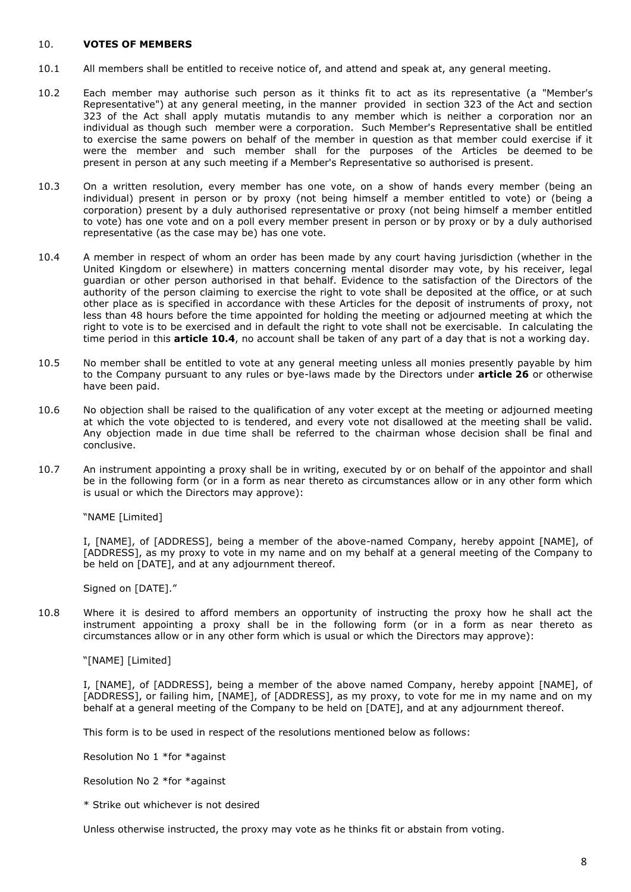#### 10. **VOTES OF MEMBERS**

- 10.1 All members shall be entitled to receive notice of, and attend and speak at, any general meeting.
- 10.2 Each member may authorise such person as it thinks fit to act as its representative (a "Member's Representative") at any general meeting, in the manner provided in section 323 of the Act and section 323 of the Act shall apply mutatis mutandis to any member which is neither a corporation nor an individual as though such member were a corporation. Such Member's Representative shall be entitled to exercise the same powers on behalf of the member in question as that member could exercise if it were the member and such member shall for the purposes of the Articles be deemed to be present in person at any such meeting if a Member's Representative so authorised is present.
- 10.3 On a written resolution, every member has one vote, on a show of hands every member (being an individual) present in person or by proxy (not being himself a member entitled to vote) or (being a corporation) present by a duly authorised representative or proxy (not being himself a member entitled to vote) has one vote and on a poll every member present in person or by proxy or by a duly authorised representative (as the case may be) has one vote.
- <span id="page-10-0"></span>10.4 A member in respect of whom an order has been made by any court having jurisdiction (whether in the United Kingdom or elsewhere) in matters concerning mental disorder may vote, by his receiver, legal guardian or other person authorised in that behalf. Evidence to the satisfaction of the Directors of the authority of the person claiming to exercise the right to vote shall be deposited at the office, or at such other place as is specified in accordance with these Articles for the deposit of instruments of proxy, not less than 48 hours before the time appointed for holding the meeting or adjourned meeting at which the right to vote is to be exercised and in default the right to vote shall not be exercisable. In calculating the time period in this **article [10.4](#page-10-0)**, no account shall be taken of any part of a day that is not a working day.
- 10.5 No member shall be entitled to vote at any general meeting unless all monies presently payable by him to the Company pursuant to any rules or bye-laws made by the Directors under **article [26](#page-16-0)** or otherwise have been paid.
- 10.6 No objection shall be raised to the qualification of any voter except at the meeting or adjourned meeting at which the vote objected to is tendered, and every vote not disallowed at the meeting shall be valid. Any objection made in due time shall be referred to the chairman whose decision shall be final and conclusive.
- 10.7 An instrument appointing a proxy shall be in writing, executed by or on behalf of the appointor and shall be in the following form (or in a form as near thereto as circumstances allow or in any other form which is usual or which the Directors may approve):

"NAME [Limited]

I, [NAME], of [ADDRESS], being a member of the above-named Company, hereby appoint [NAME], of [ADDRESS], as my proxy to vote in my name and on my behalf at a general meeting of the Company to be held on [DATE], and at any adjournment thereof.

Signed on [DATE]."

10.8 Where it is desired to afford members an opportunity of instructing the proxy how he shall act the instrument appointing a proxy shall be in the following form (or in a form as near thereto as circumstances allow or in any other form which is usual or which the Directors may approve):

"[NAME] [Limited]

I, [NAME], of [ADDRESS], being a member of the above named Company, hereby appoint [NAME], of [ADDRESS], or failing him, [NAME], of [ADDRESS], as my proxy, to vote for me in my name and on my behalf at a general meeting of the Company to be held on [DATE], and at any adjournment thereof.

This form is to be used in respect of the resolutions mentioned below as follows:

Resolution No 1 \*for \*against

Resolution No 2 \*for \*against

\* Strike out whichever is not desired

Unless otherwise instructed, the proxy may vote as he thinks fit or abstain from voting.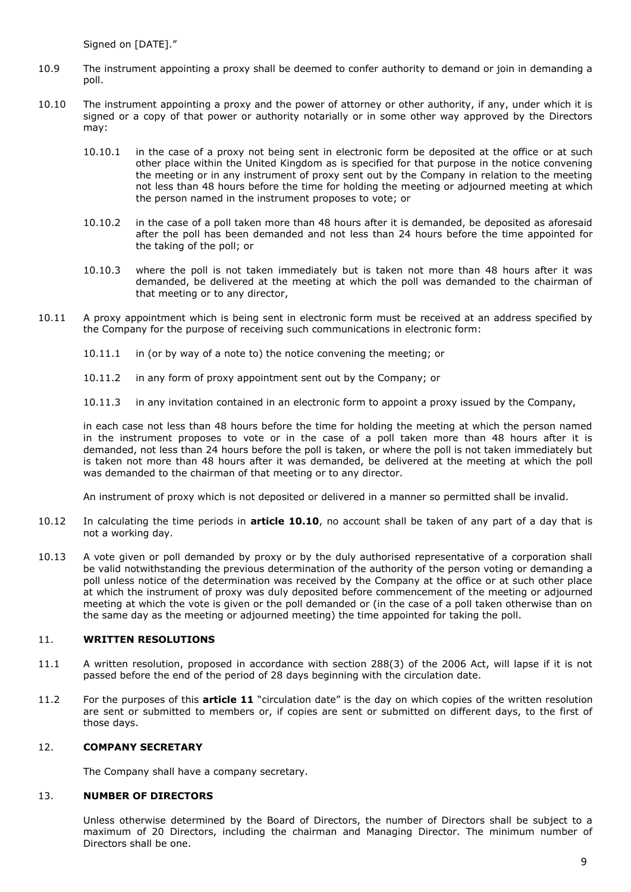Signed on [DATE]."

- 10.9 The instrument appointing a proxy shall be deemed to confer authority to demand or join in demanding a noll
- <span id="page-11-0"></span>10.10 The instrument appointing a proxy and the power of attorney or other authority, if any, under which it is signed or a copy of that power or authority notarially or in some other way approved by the Directors may:
	- 10.10.1 in the case of a proxy not being sent in electronic form be deposited at the office or at such other place within the United Kingdom as is specified for that purpose in the notice convening the meeting or in any instrument of proxy sent out by the Company in relation to the meeting not less than 48 hours before the time for holding the meeting or adjourned meeting at which the person named in the instrument proposes to vote; or
	- 10.10.2 in the case of a poll taken more than 48 hours after it is demanded, be deposited as aforesaid after the poll has been demanded and not less than 24 hours before the time appointed for the taking of the poll; or
	- 10.10.3 where the poll is not taken immediately but is taken not more than 48 hours after it was demanded, be delivered at the meeting at which the poll was demanded to the chairman of that meeting or to any director,
- 10.11 A proxy appointment which is being sent in electronic form must be received at an address specified by the Company for the purpose of receiving such communications in electronic form:
	- 10.11.1 in (or by way of a note to) the notice convening the meeting; or
	- 10.11.2 in any form of proxy appointment sent out by the Company; or
	- 10.11.3 in any invitation contained in an electronic form to appoint a proxy issued by the Company,

in each case not less than 48 hours before the time for holding the meeting at which the person named in the instrument proposes to vote or in the case of a poll taken more than 48 hours after it is demanded, not less than 24 hours before the poll is taken, or where the poll is not taken immediately but is taken not more than 48 hours after it was demanded, be delivered at the meeting at which the poll was demanded to the chairman of that meeting or to any director.

An instrument of proxy which is not deposited or delivered in a manner so permitted shall be invalid.

- 10.12 In calculating the time periods in **article [10.10](#page-11-0)**, no account shall be taken of any part of a day that is not a working day.
- 10.13 A vote given or poll demanded by proxy or by the duly authorised representative of a corporation shall be valid notwithstanding the previous determination of the authority of the person voting or demanding a poll unless notice of the determination was received by the Company at the office or at such other place at which the instrument of proxy was duly deposited before commencement of the meeting or adjourned meeting at which the vote is given or the poll demanded or (in the case of a poll taken otherwise than on the same day as the meeting or adjourned meeting) the time appointed for taking the poll.

### 11. **WRITTEN RESOLUTIONS**

- 11.1 A written resolution, proposed in accordance with section 288(3) of the 2006 Act, will lapse if it is not passed before the end of the period of 28 days beginning with the circulation date.
- 11.2 For the purposes of this **article 11** "circulation date" is the day on which copies of the written resolution are sent or submitted to members or, if copies are sent or submitted on different days, to the first of those days.

## 12. **COMPANY SECRETARY**

The Company shall have a company secretary.

#### 13. **NUMBER OF DIRECTORS**

Unless otherwise determined by the Board of Directors, the number of Directors shall be subject to a maximum of 20 Directors, including the chairman and Managing Director. The minimum number of Directors shall be one.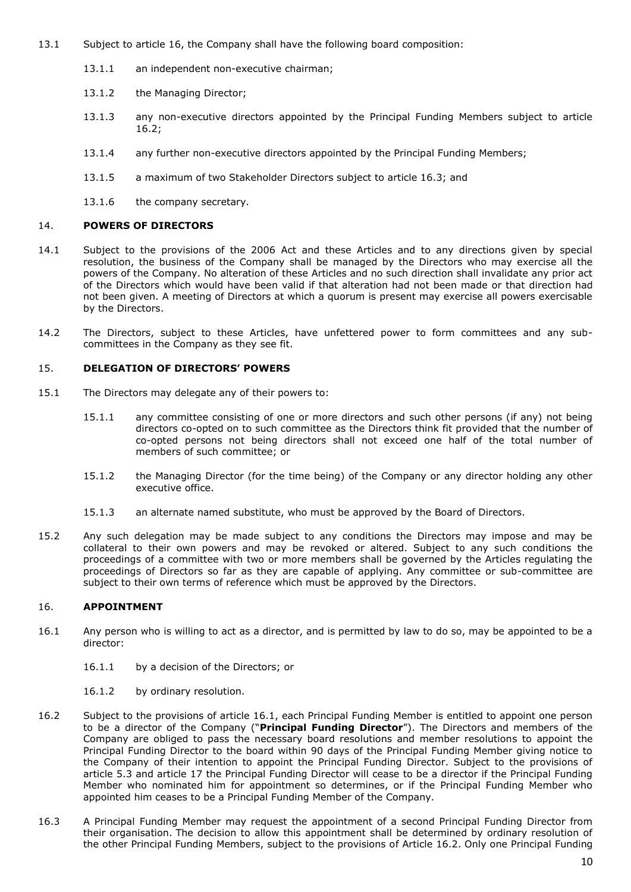- 13.1 Subject to article 16, the Company shall have the following board composition:
	- 13.1.1 an independent non-executive chairman;
	- 13.1.2 the Managing Director;
	- 13.1.3 any non-executive directors appointed by the Principal Funding Members subject to article 16.2;
	- 13.1.4 any further non-executive directors appointed by the Principal Funding Members;
	- 13.1.5 a maximum of two Stakeholder Directors subject to article 16.3; and
	- 13.1.6 the company secretary.

### 14. **POWERS OF DIRECTORS**

- 14.1 Subject to the provisions of the 2006 Act and these Articles and to any directions given by special resolution, the business of the Company shall be managed by the Directors who may exercise all the powers of the Company. No alteration of these Articles and no such direction shall invalidate any prior act of the Directors which would have been valid if that alteration had not been made or that direction had not been given. A meeting of Directors at which a quorum is present may exercise all powers exercisable by the Directors.
- 14.2 The Directors, subject to these Articles, have unfettered power to form committees and any subcommittees in the Company as they see fit.

#### <span id="page-12-0"></span>15. **DELEGATION OF DIRECTORS' POWERS**

- 15.1 The Directors may delegate any of their powers to:
	- 15.1.1 any committee consisting of one or more directors and such other persons (if any) not being directors co-opted on to such committee as the Directors think fit provided that the number of co-opted persons not being directors shall not exceed one half of the total number of members of such committee; or
	- 15.1.2 the Managing Director (for the time being) of the Company or any director holding any other executive office.
	- 15.1.3 an alternate named substitute, who must be approved by the Board of Directors.
- 15.2 Any such delegation may be made subject to any conditions the Directors may impose and may be collateral to their own powers and may be revoked or altered. Subject to any such conditions the proceedings of a committee with two or more members shall be governed by the Articles regulating the proceedings of Directors so far as they are capable of applying. Any committee or sub-committee are subject to their own terms of reference which must be approved by the Directors.

#### 16. **APPOINTMENT**

- 16.1 Any person who is willing to act as a director, and is permitted by law to do so, may be appointed to be a director:
	- 16.1.1 by a decision of the Directors; or
	- 16.1.2 by ordinary resolution.
- 16.2 Subject to the provisions of article 16.1, each Principal Funding Member is entitled to appoint one person to be a director of the Company ("**Principal Funding Director**"). The Directors and members of the Company are obliged to pass the necessary board resolutions and member resolutions to appoint the Principal Funding Director to the board within 90 days of the Principal Funding Member giving notice to the Company of their intention to appoint the Principal Funding Director. Subject to the provisions of article 5.3 and article 17 the Principal Funding Director will cease to be a director if the Principal Funding Member who nominated him for appointment so determines, or if the Principal Funding Member who appointed him ceases to be a Principal Funding Member of the Company.
- 16.3 A Principal Funding Member may request the appointment of a second Principal Funding Director from their organisation. The decision to allow this appointment shall be determined by ordinary resolution of the other Principal Funding Members, subject to the provisions of Article 16.2. Only one Principal Funding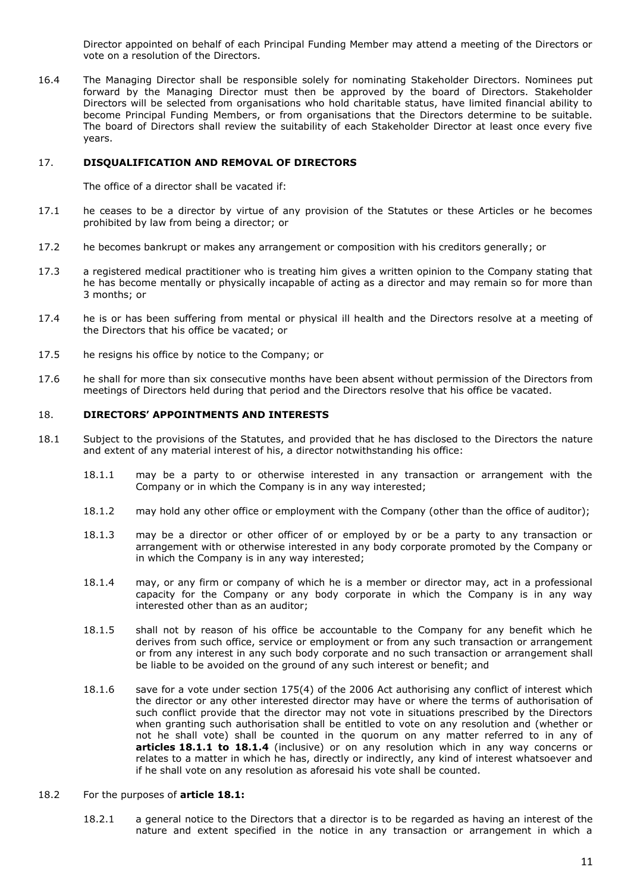Director appointed on behalf of each Principal Funding Member may attend a meeting of the Directors or vote on a resolution of the Directors.

16.4 The Managing Director shall be responsible solely for nominating Stakeholder Directors. Nominees put forward by the Managing Director must then be approved by the board of Directors. Stakeholder Directors will be selected from organisations who hold charitable status, have limited financial ability to become Principal Funding Members, or from organisations that the Directors determine to be suitable. The board of Directors shall review the suitability of each Stakeholder Director at least once every five years.

#### 17. **DISQUALIFICATION AND REMOVAL OF DIRECTORS**

The office of a director shall be vacated if:

- 17.1 he ceases to be a director by virtue of any provision of the Statutes or these Articles or he becomes prohibited by law from being a director; or
- 17.2 he becomes bankrupt or makes any arrangement or composition with his creditors generally; or
- 17.3 a registered medical practitioner who is treating him gives a written opinion to the Company stating that he has become mentally or physically incapable of acting as a director and may remain so for more than 3 months; or
- 17.4 he is or has been suffering from mental or physical ill health and the Directors resolve at a meeting of the Directors that his office be vacated; or
- 17.5 he resigns his office by notice to the Company; or
- 17.6 he shall for more than six consecutive months have been absent without permission of the Directors from meetings of Directors held during that period and the Directors resolve that his office be vacated.

### 18. **DIRECTORS' APPOINTMENTS AND INTERESTS**

- <span id="page-13-2"></span><span id="page-13-1"></span><span id="page-13-0"></span>18.1 Subject to the provisions of the Statutes, and provided that he has disclosed to the Directors the nature and extent of any material interest of his, a director notwithstanding his office:
	- 18.1.1 may be a party to or otherwise interested in any transaction or arrangement with the Company or in which the Company is in any way interested;
	- 18.1.2 may hold any other office or employment with the Company (other than the office of auditor);
	- 18.1.3 may be a director or other officer of or employed by or be a party to any transaction or arrangement with or otherwise interested in any body corporate promoted by the Company or in which the Company is in any way interested;
	- 18.1.4 may, or any firm or company of which he is a member or director may, act in a professional capacity for the Company or any body corporate in which the Company is in any way interested other than as an auditor;
	- 18.1.5 shall not by reason of his office be accountable to the Company for any benefit which he derives from such office, service or employment or from any such transaction or arrangement or from any interest in any such body corporate and no such transaction or arrangement shall be liable to be avoided on the ground of any such interest or benefit; and
	- 18.1.6 save for a vote under section 175(4) of the 2006 Act authorising any conflict of interest which the director or any other interested director may have or where the terms of authorisation of such conflict provide that the director may not vote in situations prescribed by the Directors when granting such authorisation shall be entitled to vote on any resolution and (whether or not he shall vote) shall be counted in the quorum on any matter referred to in any of **articles [18.1.1](#page-13-0) to [18.1.4](#page-13-1)** (inclusive) or on any resolution which in any way concerns or relates to a matter in which he has, directly or indirectly, any kind of interest whatsoever and if he shall vote on any resolution as aforesaid his vote shall be counted.

#### 18.2 For the purposes of **article [18.1:](#page-13-2)**

18.2.1 a general notice to the Directors that a director is to be regarded as having an interest of the nature and extent specified in the notice in any transaction or arrangement in which a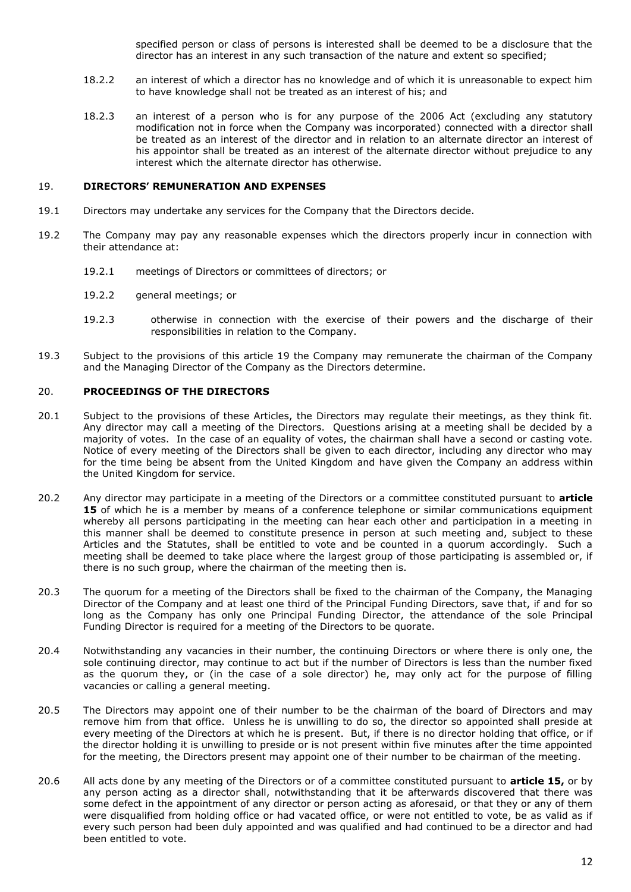specified person or class of persons is interested shall be deemed to be a disclosure that the director has an interest in any such transaction of the nature and extent so specified;

- 18.2.2 an interest of which a director has no knowledge and of which it is unreasonable to expect him to have knowledge shall not be treated as an interest of his; and
- 18.2.3 an interest of a person who is for any purpose of the 2006 Act (excluding any statutory modification not in force when the Company was incorporated) connected with a director shall be treated as an interest of the director and in relation to an alternate director an interest of his appointor shall be treated as an interest of the alternate director without prejudice to any interest which the alternate director has otherwise.

#### 19. **DIRECTORS' REMUNERATION AND EXPENSES**

- 19.1 Directors may undertake any services for the Company that the Directors decide.
- 19.2 The Company may pay any reasonable expenses which the directors properly incur in connection with their attendance at:
	- 19.2.1 meetings of Directors or committees of directors; or
	- 19.2.2 general meetings; or
	- 19.2.3 otherwise in connection with the exercise of their powers and the discharge of their responsibilities in relation to the Company.
- 19.3 Subject to the provisions of this article 19 the Company may remunerate the chairman of the Company and the Managing Director of the Company as the Directors determine.

#### 20. **PROCEEDINGS OF THE DIRECTORS**

- 20.1 Subject to the provisions of these Articles, the Directors may regulate their meetings, as they think fit. Any director may call a meeting of the Directors. Questions arising at a meeting shall be decided by a majority of votes. In the case of an equality of votes, the chairman shall have a second or casting vote. Notice of every meeting of the Directors shall be given to each director, including any director who may for the time being be absent from the United Kingdom and have given the Company an address within the United Kingdom for service.
- 20.2 Any director may participate in a meeting of the Directors or a committee constituted pursuant to **article [15](#page-12-0)** of which he is a member by means of a conference telephone or similar communications equipment whereby all persons participating in the meeting can hear each other and participation in a meeting in this manner shall be deemed to constitute presence in person at such meeting and, subject to these Articles and the Statutes, shall be entitled to vote and be counted in a quorum accordingly. Such a meeting shall be deemed to take place where the largest group of those participating is assembled or, if there is no such group, where the chairman of the meeting then is.
- 20.3 The quorum for a meeting of the Directors shall be fixed to the chairman of the Company, the Managing Director of the Company and at least one third of the Principal Funding Directors, save that, if and for so long as the Company has only one Principal Funding Director, the attendance of the sole Principal Funding Director is required for a meeting of the Directors to be quorate.
- 20.4 Notwithstanding any vacancies in their number, the continuing Directors or where there is only one, the sole continuing director, may continue to act but if the number of Directors is less than the number fixed as the quorum they, or (in the case of a sole director) he, may only act for the purpose of filling vacancies or calling a general meeting.
- 20.5 The Directors may appoint one of their number to be the chairman of the board of Directors and may remove him from that office. Unless he is unwilling to do so, the director so appointed shall preside at every meeting of the Directors at which he is present. But, if there is no director holding that office, or if the director holding it is unwilling to preside or is not present within five minutes after the time appointed for the meeting, the Directors present may appoint one of their number to be chairman of the meeting.
- 20.6 All acts done by any meeting of the Directors or of a committee constituted pursuant to **article [15,](#page-12-0)** or by any person acting as a director shall, notwithstanding that it be afterwards discovered that there was some defect in the appointment of any director or person acting as aforesaid, or that they or any of them were disqualified from holding office or had vacated office, or were not entitled to vote, be as valid as if every such person had been duly appointed and was qualified and had continued to be a director and had been entitled to vote.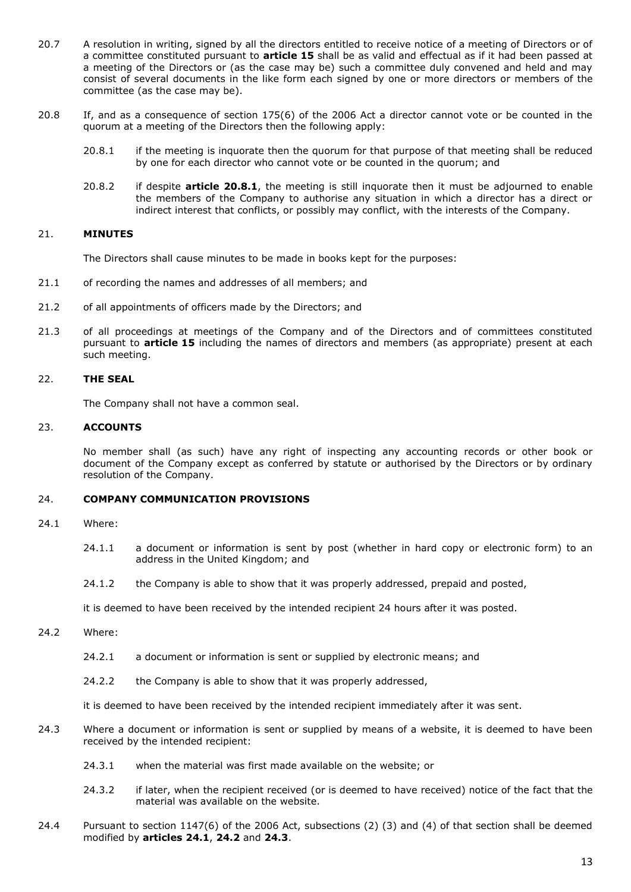- 20.7 A resolution in writing, signed by all the directors entitled to receive notice of a meeting of Directors or of a committee constituted pursuant to **article [15](#page-12-0)** shall be as valid and effectual as if it had been passed at a meeting of the Directors or (as the case may be) such a committee duly convened and held and may consist of several documents in the like form each signed by one or more directors or members of the committee (as the case may be).
- <span id="page-15-0"></span>20.8 If, and as a consequence of section 175(6) of the 2006 Act a director cannot vote or be counted in the quorum at a meeting of the Directors then the following apply:
	- 20.8.1 if the meeting is inquorate then the quorum for that purpose of that meeting shall be reduced by one for each director who cannot vote or be counted in the quorum; and
	- 20.8.2 if despite **article [20.8.1](#page-15-0)**, the meeting is still inquorate then it must be adjourned to enable the members of the Company to authorise any situation in which a director has a direct or indirect interest that conflicts, or possibly may conflict, with the interests of the Company.

#### 21. **MINUTES**

The Directors shall cause minutes to be made in books kept for the purposes:

- 21.1 of recording the names and addresses of all members; and
- 21.2 of all appointments of officers made by the Directors; and
- 21.3 of all proceedings at meetings of the Company and of the Directors and of committees constituted pursuant to **article [15](#page-12-0)** including the names of directors and members (as appropriate) present at each such meeting.

#### 22. **THE SEAL**

The Company shall not have a common seal.

#### 23. **ACCOUNTS**

No member shall (as such) have any right of inspecting any accounting records or other book or document of the Company except as conferred by statute or authorised by the Directors or by ordinary resolution of the Company.

#### 24. **COMPANY COMMUNICATION PROVISIONS**

- <span id="page-15-1"></span>24.1 Where:
	- 24.1.1 a document or information is sent by post (whether in hard copy or electronic form) to an address in the United Kingdom; and
	- 24.1.2 the Company is able to show that it was properly addressed, prepaid and posted,

it is deemed to have been received by the intended recipient 24 hours after it was posted.

- <span id="page-15-2"></span>24.2 Where:
	- 24.2.1 a document or information is sent or supplied by electronic means; and
	- 24.2.2 the Company is able to show that it was properly addressed,

it is deemed to have been received by the intended recipient immediately after it was sent.

- <span id="page-15-3"></span>24.3 Where a document or information is sent or supplied by means of a website, it is deemed to have been received by the intended recipient:
	- 24.3.1 when the material was first made available on the website; or
	- 24.3.2 if later, when the recipient received (or is deemed to have received) notice of the fact that the material was available on the website.
- 24.4 Pursuant to section 1147(6) of the 2006 Act, subsections (2) (3) and (4) of that section shall be deemed modified by **articles [24.1](#page-15-1)**, **[24.2](#page-15-2)** and **[24.3](#page-15-3)**.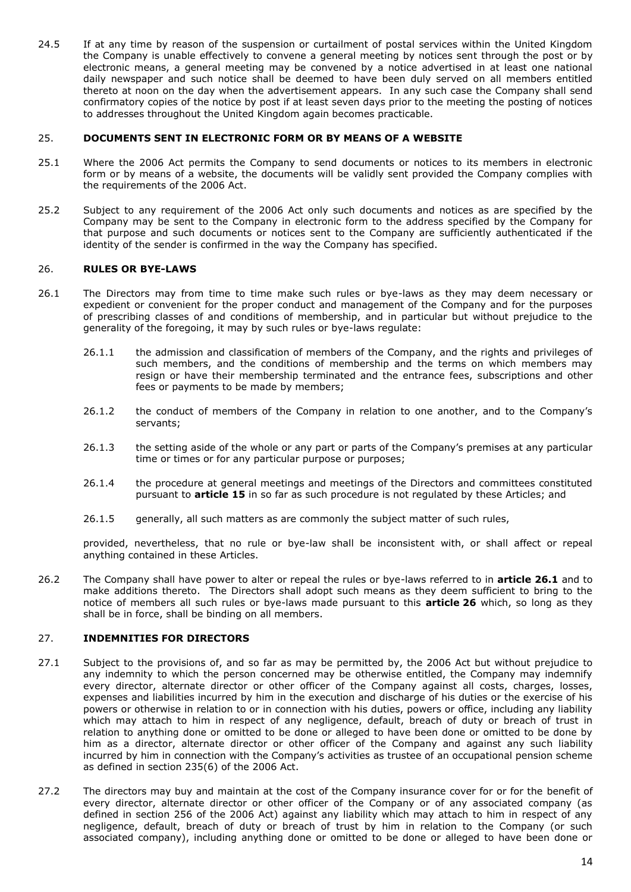24.5 If at any time by reason of the suspension or curtailment of postal services within the United Kingdom the Company is unable effectively to convene a general meeting by notices sent through the post or by electronic means, a general meeting may be convened by a notice advertised in at least one national daily newspaper and such notice shall be deemed to have been duly served on all members entitled thereto at noon on the day when the advertisement appears. In any such case the Company shall send confirmatory copies of the notice by post if at least seven days prior to the meeting the posting of notices to addresses throughout the United Kingdom again becomes practicable.

#### 25. **DOCUMENTS SENT IN ELECTRONIC FORM OR BY MEANS OF A WEBSITE**

- 25.1 Where the 2006 Act permits the Company to send documents or notices to its members in electronic form or by means of a website, the documents will be validly sent provided the Company complies with the requirements of the 2006 Act.
- 25.2 Subject to any requirement of the 2006 Act only such documents and notices as are specified by the Company may be sent to the Company in electronic form to the address specified by the Company for that purpose and such documents or notices sent to the Company are sufficiently authenticated if the identity of the sender is confirmed in the way the Company has specified.

### <span id="page-16-0"></span>26. **RULES OR BYE-LAWS**

- <span id="page-16-1"></span>26.1 The Directors may from time to time make such rules or bye-laws as they may deem necessary or expedient or convenient for the proper conduct and management of the Company and for the purposes of prescribing classes of and conditions of membership, and in particular but without prejudice to the generality of the foregoing, it may by such rules or bye-laws regulate:
	- 26.1.1 the admission and classification of members of the Company, and the rights and privileges of such members, and the conditions of membership and the terms on which members may resign or have their membership terminated and the entrance fees, subscriptions and other fees or payments to be made by members;
	- 26.1.2 the conduct of members of the Company in relation to one another, and to the Company's servants;
	- 26.1.3 the setting aside of the whole or any part or parts of the Company's premises at any particular time or times or for any particular purpose or purposes;
	- 26.1.4 the procedure at general meetings and meetings of the Directors and committees constituted pursuant to **article [15](#page-12-0)** in so far as such procedure is not regulated by these Articles; and
	- 26.1.5 generally, all such matters as are commonly the subject matter of such rules,

provided, nevertheless, that no rule or bye-law shall be inconsistent with, or shall affect or repeal anything contained in these Articles.

26.2 The Company shall have power to alter or repeal the rules or bye-laws referred to in **article [26.1](#page-16-1)** and to make additions thereto. The Directors shall adopt such means as they deem sufficient to bring to the notice of members all such rules or bye-laws made pursuant to this **article [26](#page-16-0)** which, so long as they shall be in force, shall be binding on all members.

### 27. **INDEMNITIES FOR DIRECTORS**

- 27.1 Subject to the provisions of, and so far as may be permitted by, the 2006 Act but without prejudice to any indemnity to which the person concerned may be otherwise entitled, the Company may indemnify every director, alternate director or other officer of the Company against all costs, charges, losses, expenses and liabilities incurred by him in the execution and discharge of his duties or the exercise of his powers or otherwise in relation to or in connection with his duties, powers or office, including any liability which may attach to him in respect of any negligence, default, breach of duty or breach of trust in relation to anything done or omitted to be done or alleged to have been done or omitted to be done by him as a director, alternate director or other officer of the Company and against any such liability incurred by him in connection with the Company's activities as trustee of an occupational pension scheme as defined in section 235(6) of the 2006 Act.
- 27.2 The directors may buy and maintain at the cost of the Company insurance cover for or for the benefit of every director, alternate director or other officer of the Company or of any associated company (as defined in section 256 of the 2006 Act) against any liability which may attach to him in respect of any negligence, default, breach of duty or breach of trust by him in relation to the Company (or such associated company), including anything done or omitted to be done or alleged to have been done or